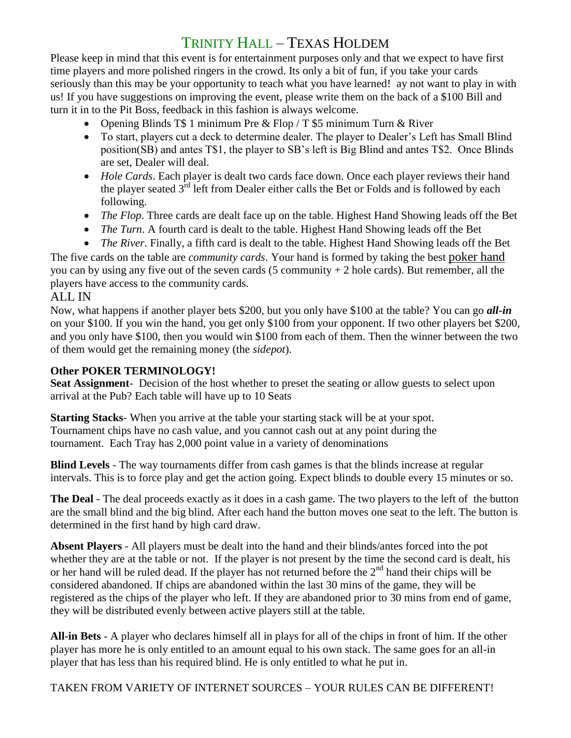## TRINITY HALL – TEXAS HOLDEM

Please keep in mind that this event is for entertainment purposes only and that we expect to have first time players and more polished ringers in the crowd. Its only a bit of fun, if you take your cards seriously than this may be your opportunity to teach what you have learned! ay not want to play in with us! If you have suggestions on improving the event, please write them on the back of a \$100 Bill and turn it in to the Pit Boss, feedback in this fashion is always welcome.

- Opening Blinds T\$ 1 minimum Pre & Flop / T \$5 minimum Turn & River
- To start, players cut a deck to determine dealer. The player to Dealer's Left has Small Blind position(SB) and antes T\$1, the player to SB's left is Big Blind and antes T\$2. Once Blinds are set, Dealer will deal.
- *Hole Cards*. Each player is dealt two cards face down. Once each player reviews their hand the player seated  $3<sup>rd</sup>$  left from Dealer either calls the Bet or Folds and is followed by each following.
- *The Flop*. Three cards are dealt face up on the table. Highest Hand Showing leads off the Bet
- *The Turn*. A fourth card is dealt to the table. Highest Hand Showing leads off the Bet
- *The River*. Finally, a fifth card is dealt to the table. Highest Hand Showing leads off the Bet

The five cards on the table are *community cards*. Your hand is formed by taking the best [poker hand](http://www.pokertips.org/rules/hand-rankings.php) you can by using any five out of the seven cards  $(5$  community  $+ 2$  hole cards). But remember, all the players have access to the community cards.

## ALL IN

Now, what happens if another player bets \$200, but you only have \$100 at the table? You can go *all-in* on your \$100. If you win the hand, you get only \$100 from your opponent. If two other players bet \$200, and you only have \$100, then you would win \$100 from each of them. Then the winner between the two of them would get the remaining money (the *sidepot*).

## **Other POKER TERMINOLOGY!**

**Seat Assignment**- Decision of the host whether to preset the seating or allow guests to select upon arrival at the Pub? Each table will have up to 10 Seats

**Starting Stacks**- When you arrive at the table your starting stack will be at your spot. Tournament chips have no cash value, and you cannot cash out at any point during the tournament. Each Tray has 2,000 point value in a variety of denominations

**Blind Levels** - The way tournaments differ from cash games is that the blinds increase at regular intervals. This is to force play and get the action going. Expect blinds to double every 15 minutes or so.

**The Deal** - The deal proceeds exactly as it does in a cash game. The two players to the left of the button are the small blind and the big blind. After each hand the button moves one seat to the left. The button is determined in the first hand by high card draw.

**Absent Players** - All players must be dealt into the hand and their blinds/antes forced into the pot whether they are at the table or not. If the player is not present by the time the second card is dealt, his or her hand will be ruled dead. If the player has not returned before the  $2<sup>nd</sup>$  hand their chips will be considered abandoned. If chips are abandoned within the last 30 mins of the game, they will be registered as the chips of the player who left. If they are abandoned prior to 30 mins from end of game, they will be distributed evenly between active players still at the table.

**All-in Bets** - A player who declares himself all in plays for all of the chips in front of him. If the other player has more he is only entitled to an amount equal to his own stack. The same goes for an all-in player that has less than his required blind. He is only entitled to what he put in.

TAKEN FROM VARIETY OF INTERNET SOURCES – YOUR RULES CAN BE DIFFERENT!